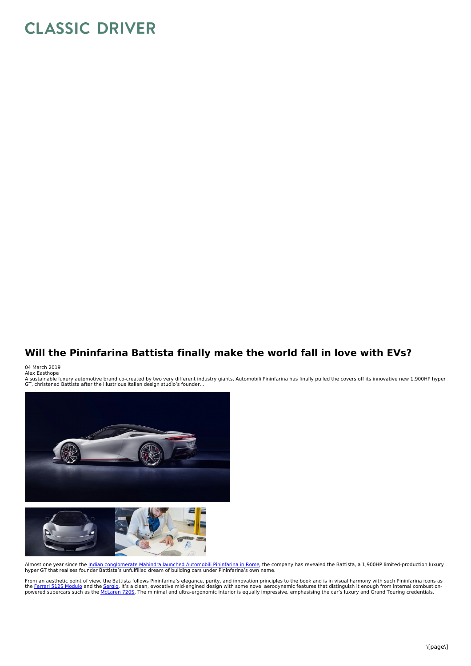## **CLASSIC DRIVER**

## **Will the Pininfarina Battista finally make the world fall in love with EVs?**

04 March 2019<br>Alex Easthope

A sustainable luxury automotive brand co-created by two very different industry giants, Automobili Pininfarina has finally pulled the covers off its innovative new 1,900HP hyper<br>GT, christened Battista after the illustriou



Almost one year since the <u>Indian [conglomerate](https://www.classicdriver.com/en/article/cars/can-automobili-pininfarina-revolt-hypercar-market) Mahindra launched Automobili Pininfarina in Rome</u>, the company has revealed the Battista, a 1,900HP limited-production luxury<br>hyper GT that realises founder Battista's unfulfi

From an aesthetic point of view, the Battista follows Pininfarina's elegance, purity, and innovation principles to the book and is in visual harmony with such Pininfarina icons as<br>the <u>Ferrari 5125 [Modulo](https://www.classicdriver.com/en/article/cars/classic-concepts-1970-ferrari-512s-modulo)</u> and the <u>[Sergio](https://www.classicdriver.com/en/article/cars/ferrari-sergio-pininfarina-tribute-legend)</u>